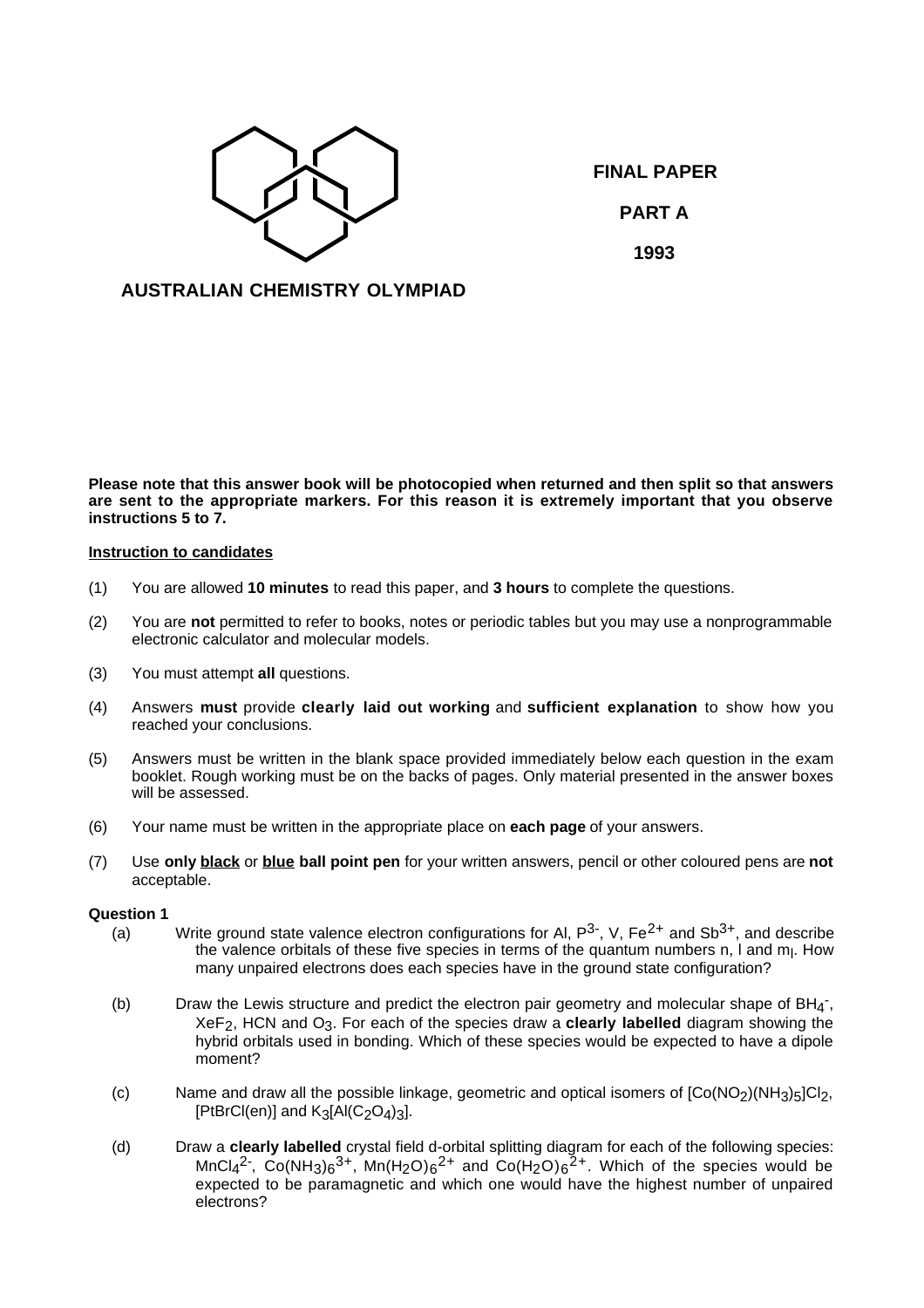

**FINAL PAPER PART A 1993**

# **AUSTRALIAN CHEMISTRY OLYMPIAD**

**Please note that this answer book will be photocopied when returned and then split so that answers are sent to the appropriate markers. For this reason it is extremely important that you observe instructions 5 to 7.**

### **Instruction to candidates**

- (1) You are allowed **10 minutes** to read this paper, and **3 hours** to complete the questions.
- (2) You are **not** permitted to refer to books, notes or periodic tables but you may use a nonprogrammable electronic calculator and molecular models.
- (3) You must attempt **all** questions.
- (4) Answers **must** provide **clearly laid out working** and **sufficient explanation** to show how you reached your conclusions.
- (5) Answers must be written in the blank space provided immediately below each question in the exam booklet. Rough working must be on the backs of pages. Only material presented in the answer boxes will be assessed.
- (6) Your name must be written in the appropriate place on **each page** of your answers.
- (7) Use **only black** or **blue ball point pen** for your written answers, pencil or other coloured pens are **not** acceptable.

#### **Question 1**

- (a) Write ground state valence electron configurations for Al,  $P^{3}$ , V,  $Fe^{2+}$  and Sb<sup>3+</sup>, and describe the valence orbitals of these five species in terms of the quantum numbers n, I and m<sub>I</sub>. How many unpaired electrons does each species have in the ground state configuration?
- (b) Draw the Lewis structure and predict the electron pair geometry and molecular shape of  $BH_{4}^-$ , XeF2, HCN and O3. For each of the species draw a **clearly labelled** diagram showing the hybrid orbitals used in bonding. Which of these species would be expected to have a dipole moment?
- (c) Name and draw all the possible linkage, geometric and optical isomers of  $[Co(NO<sub>2</sub>)(NH<sub>3</sub>)<sub>5</sub>]Cl<sub>2</sub>$ , [PtBrCl(en)] and  $K_3[A|(C_2O_4)_3]$ .
- (d) Draw a **clearly labelled** crystal field d-orbital splitting diagram for each of the following species:  $MnCl<sub>4</sub><sup>2</sup>$ , Co(NH<sub>3</sub>)<sub>6</sub><sup>3+</sup>, Mn(H<sub>2</sub>O)<sub>6</sub><sup>2+</sup> and Co(H<sub>2</sub>O)<sub>6</sub><sup>2+</sup>. Which of the species would be expected to be paramagnetic and which one would have the highest number of unpaired electrons?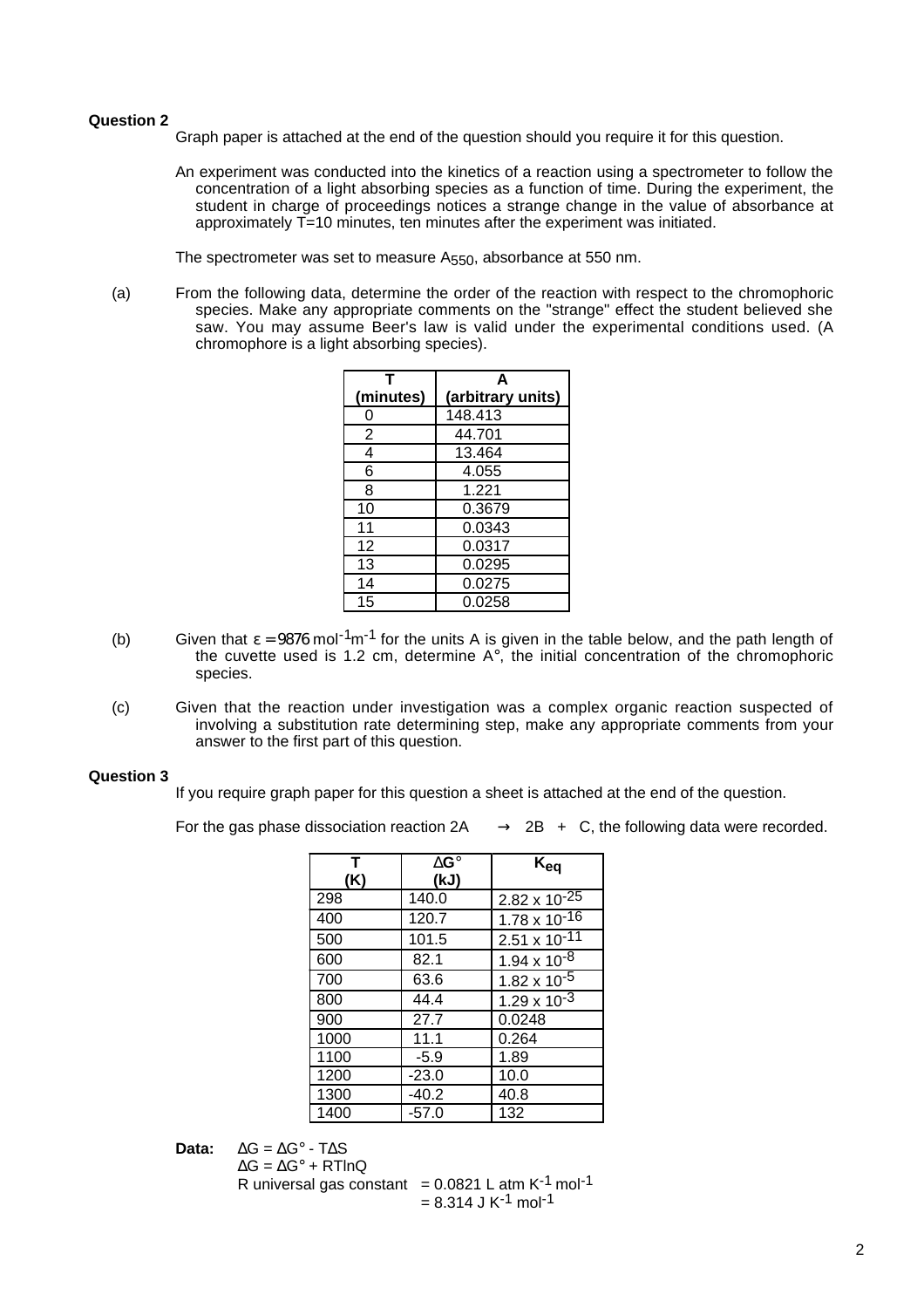### **Question 2**

Graph paper is attached at the end of the question should you require it for this question.

An experiment was conducted into the kinetics of a reaction using a spectrometer to follow the concentration of a light absorbing species as a function of time. During the experiment, the student in charge of proceedings notices a strange change in the value of absorbance at approximately T=10 minutes, ten minutes after the experiment was initiated.

The spectrometer was set to measure A<sub>550</sub>, absorbance at 550 nm.

(a) From the following data, determine the order of the reaction with respect to the chromophoric species. Make any appropriate comments on the "strange" effect the student believed she saw. You may assume Beer's law is valid under the experimental conditions used. (A chromophore is a light absorbing species).

|                | A                 |  |
|----------------|-------------------|--|
| (minutes)      | (arbitrary units) |  |
| 0              | 148.413           |  |
| $\overline{2}$ | 44.701            |  |
| 4              | 13.464            |  |
| 6              | 4.055             |  |
| 8              | 1.221             |  |
| 10             | 0.3679            |  |
| 11             | 0.0343            |  |
| 12             | 0.0317            |  |
| 13             | 0.0295            |  |
| 14             | 0.0275            |  |
| 15             | 0.0258            |  |

- (b) Given that  $\varepsilon = 9876$  mol<sup>-1</sup>m<sup>-1</sup> for the units A is given in the table below, and the path length of the cuvette used is 1.2 cm, determine  $A^\circ$ , the initial concentration of the chromophoric species.
- (c) Given that the reaction under investigation was a complex organic reaction suspected of involving a substitution rate determining step, make any appropriate comments from your answer to the first part of this question.

## **Question 3**

If you require graph paper for this question a sheet is attached at the end of the question.

For the gas phase dissociation reaction  $2A \longrightarrow 2B + C$ , the following data were recorded.

| T<br>(K) | $\Delta G^{\circ}$<br>(kJ) | $K_{eq}$               |
|----------|----------------------------|------------------------|
| 298      | 140.0                      | $2.82 \times 10^{-25}$ |
| 400      | 120.7                      | $1.78 \times 10^{-16}$ |
| 500      | 101.5                      | $2.51 \times 10^{-11}$ |
| 600      | 82.1                       | $1.94 \times 10^{-8}$  |
| 700      | 63.6                       | $1.82 \times 10^{-5}$  |
| 800      | 44.4                       | $1.29 \times 10^{-3}$  |
| 900      | 27.7                       | 0.0248                 |
| 1000     | 11.1                       | 0.264                  |
| 1100     | $-5.9$                     | 1.89                   |
| 1200     | $-23.0$                    | 10.0                   |
| 1300     | $-40.2$                    | 40.8                   |
| 1400     | $-57.0$                    | 132                    |

**Data:** ∆G = ∆G° - T∆S

```
\Delta G = \Delta G^{\circ} + RTInQ
```
R universal gas constant =  $0.0821$  L atm K<sup>-1</sup> mol<sup>-1</sup>  $= 8.314$  J K<sup>-1</sup> mol<sup>-1</sup>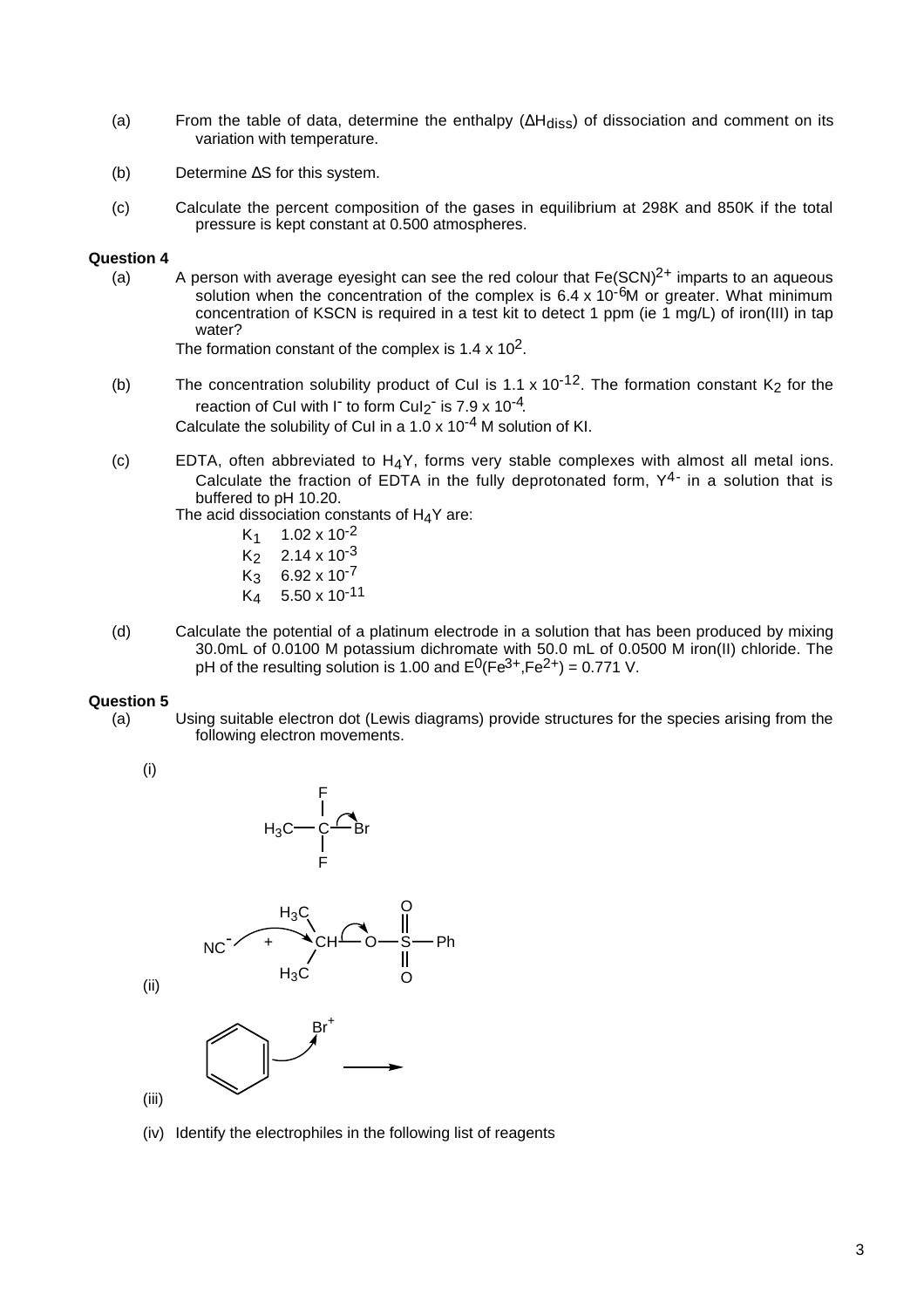- (a) From the table of data, determine the enthalpy ( $\Delta H_{diss}$ ) of dissociation and comment on its variation with temperature.
- (b) Determine ∆S for this system.
- (c) Calculate the percent composition of the gases in equilibrium at 298K and 850K if the total pressure is kept constant at 0.500 atmospheres.

### **Question 4**

(a) A person with average eyesight can see the red colour that  $Fe(SCN)^{2+}$  imparts to an aqueous solution when the concentration of the complex is 6.4 x 10<sup>-6</sup>M or greater. What minimum concentration of KSCN is required in a test kit to detect 1 ppm (ie 1 mg/L) of iron(III) in tap water?

The formation constant of the complex is  $1.4 \times 10^2$ .

(b) The concentration solubility product of CuI is 1.1 x 10<sup>-12</sup>. The formation constant K<sub>2</sub> for the reaction of CuI with I<sup>-</sup> to form CuI<sub>2</sub><sup>-</sup> is 7.9 x 10<sup>-4</sup>. Calculate the solubility of CuI in a  $1.0 \times 10^{-4}$  M solution of KI.

(c) EDTA, often abbreviated to  $H_4Y$ , forms very stable complexes with almost all metal ions. Calculate the fraction of EDTA in the fully deprotonated form,  $Y^{4-}$  in a solution that is buffered to pH 10.20.

The acid dissociation constants of H<sub>4</sub>Y are:<br> $K_1$  1.02 x 10<sup>-2</sup>

- $K_1$  1.02 x 10<sup>-2</sup><br> $K_2$  2.14 x 10<sup>-3</sup>
- $K_2$  2.14 x 10<sup>-3</sup><br> $K_3$  6.92 x 10<sup>-7</sup>
- $K_3$  6.92 x 10<sup>-7</sup><br> $K_4$  5.50 x 10<sup>-1</sup>
- 5.50 x 10<sup>-11</sup>
- (d) Calculate the potential of a platinum electrode in a solution that has been produced by mixing 30.0mL of 0.0100 M potassium dichromate with 50.0 mL of 0.0500 M iron(II) chloride. The pH of the resulting solution is 1.00 and  $E^0$ (Fe<sup>3+</sup>,Fe<sup>2+</sup>) = 0.771 V.

### **Question 5**

(a) Using suitable electron dot (Lewis diagrams) provide structures for the species arising from the following electron movements.

(i)



(iv) Identify the electrophiles in the following list of reagents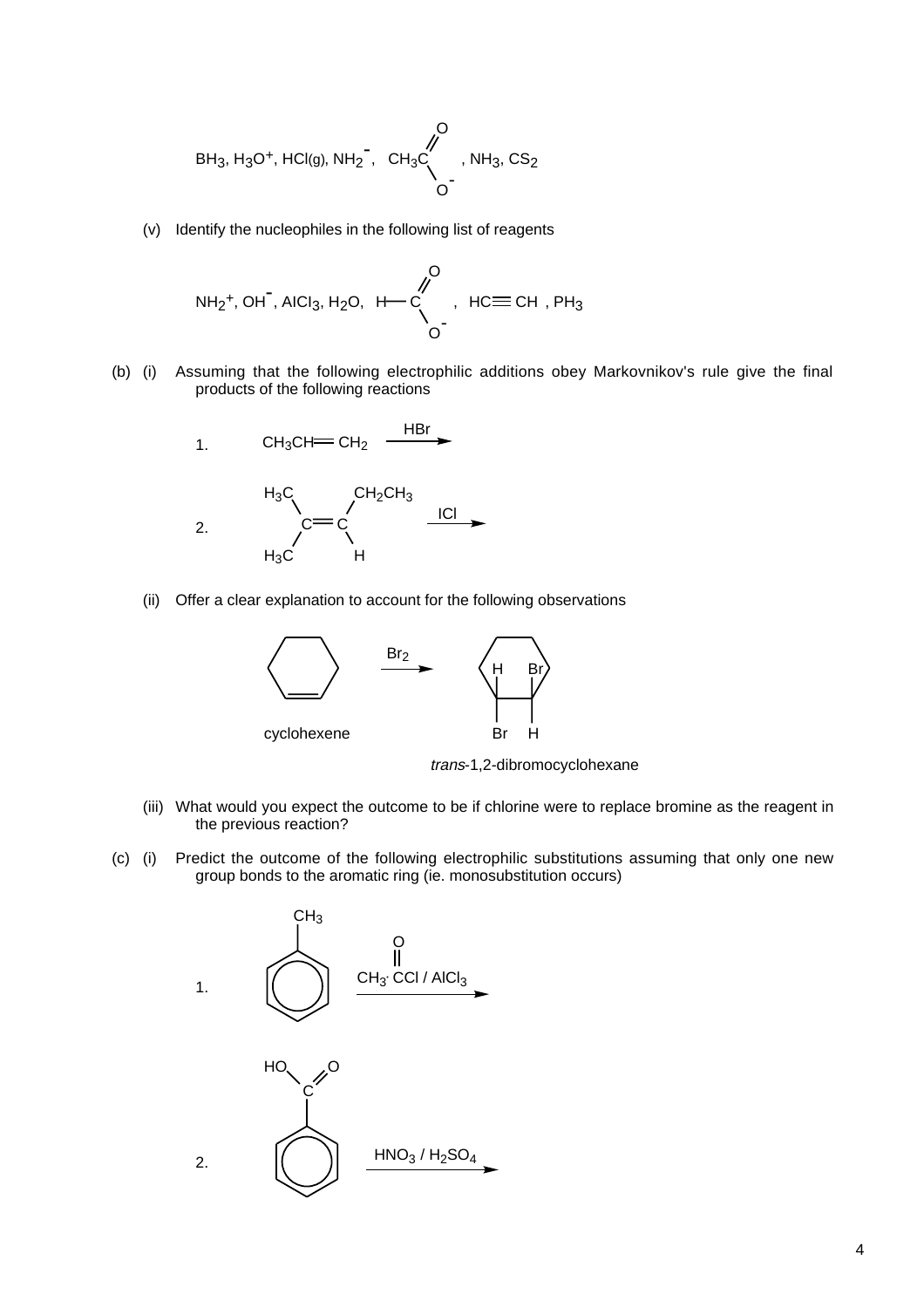$$
BH_3, H_3O^+, HCl(g), NH_2^-, CH_3C \downarrow, NH_3, CS_2
$$

(v) Identify the nucleophiles in the following list of reagents

$$
NH_2^+, OH^-, AICI_3, H_2O, H^{\bullet}O^{\bullet}
$$

(b) (i) Assuming that the following electrophilic additions obey Markovnikov's rule give the final products of the following reactions



(ii) Offer a clear explanation to account for the following observations



trans-1,2-dibromocyclohexane

- (iii) What would you expect the outcome to be if chlorine were to replace bromine as the reagent in the previous reaction?
- (c) (i) Predict the outcome of the following electrophilic substitutions assuming that only one new group bonds to the aromatic ring (ie. monosubstitution occurs)

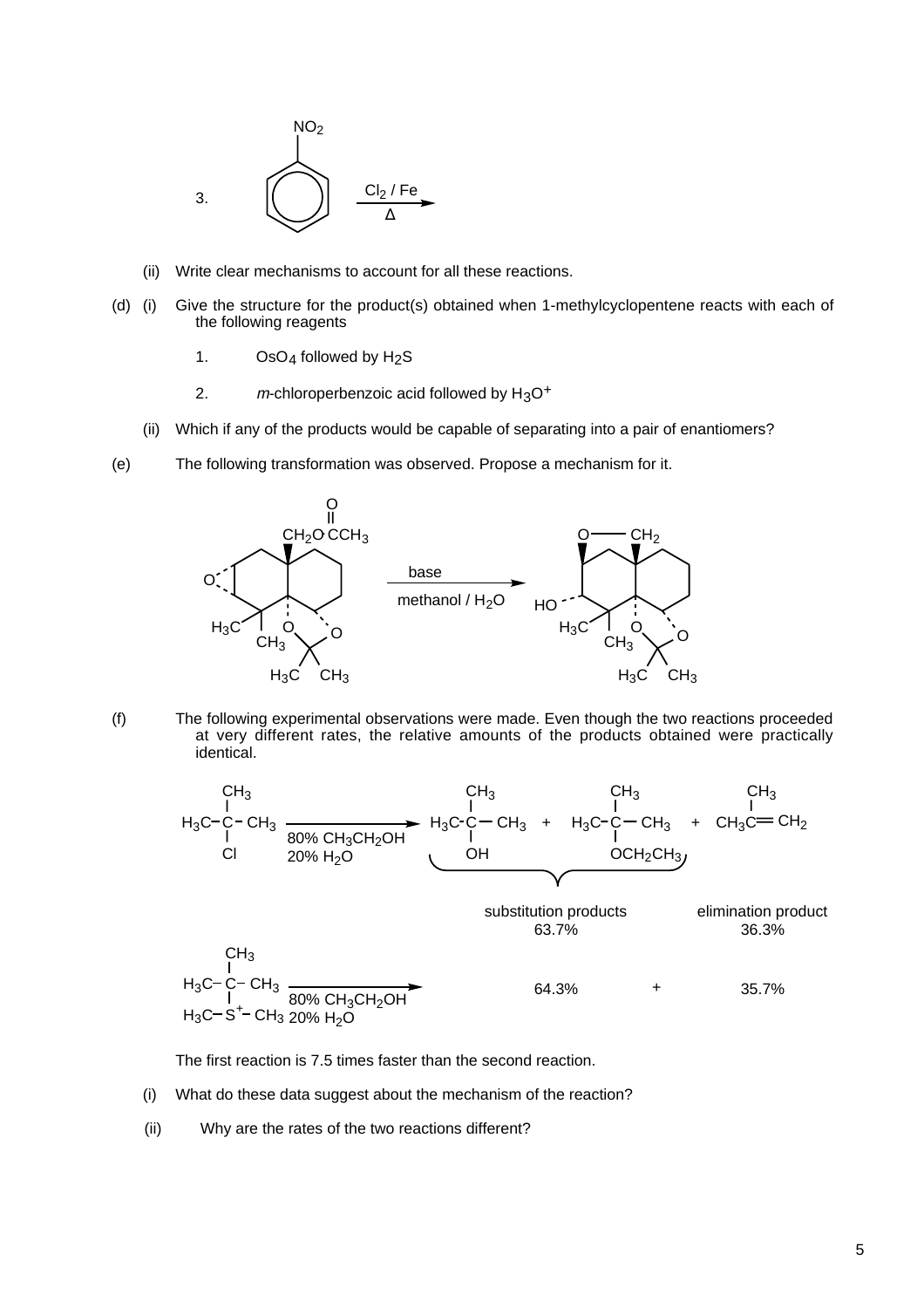

- (ii) Write clear mechanisms to account for all these reactions.
- (d) (i) Give the structure for the product(s) obtained when 1-methylcyclopentene reacts with each of the following reagents
	- 1.  $OSO<sub>4</sub>$  followed by H<sub>2</sub>S
	- 2.  $m$ -chloroperbenzoic acid followed by  $H_3O^+$
	- (ii) Which if any of the products would be capable of separating into a pair of enantiomers?
- (e) The following transformation was observed. Propose a mechanism for it.



(f) The following experimental observations were made. Even though the two reactions proceeded at very different rates, the relative amounts of the products obtained were practically identical.



The first reaction is 7.5 times faster than the second reaction.

- (i) What do these data suggest about the mechanism of the reaction?
- (ii) Why are the rates of the two reactions different?